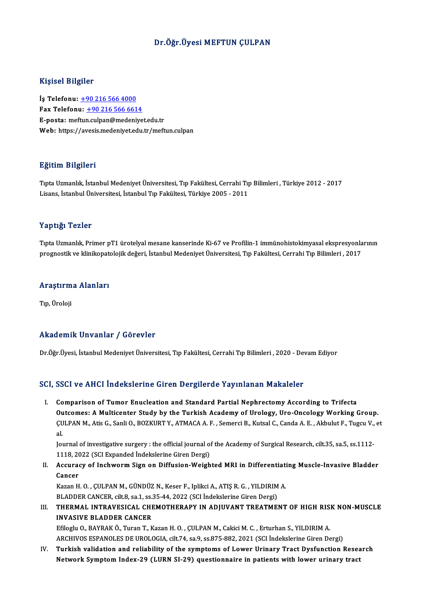### Dr.Öğr.Üyesi MEFTUN ÇULPAN

### Kişisel Bilgiler

İş Telefonu: +90 216 566 4000 Fax Telefonu:  $+902165666614$ E-posta: mef[tun](tel:+90 216 566 4000)[.culpan@medeniye](tel:+90 216 566 6614)t.edu.tr Web: https://avesis.medeniyet.edu.tr/meftun.culpan

### Eğitim Bilgileri

E<mark>ğitim Bilgileri</mark><br>Tıpta Uzmanlık, İstanbul Medeniyet Üniversitesi, Tıp Fakültesi, Cerrahi Tıp Bilimleri , Türkiye 2012 - 2017<br>Lisans, İstanbul Üniversitesi, İstanbul Tıp Fakültesi, Türkiye 2005 - 2011 Lisaans, Englisan<br>Tıpta Uzmanlık, İstanbul Medeniyet Üniversitesi, Tıp Fakültesi, Cerrahi Tıp<br>Lisans, İstanbul Üniversitesi, İstanbul Tıp Fakültesi, Türkiye 2005 - 2011 Lisans, İstanbul Üniversitesi, İstanbul Tıp Fakültesi, Türkiye 2005 - 2011<br>Yaptığı Tezler

Tıpta Uzmanlık, Primer pT1 ürotelyal mesane kanserinde Ki-67 ve Profilin-1 immünohistokimyasal ekspresyonlarının prognostik ve klinikopatolojik değeri, İstanbul Medeniyet Üniversitesi, Tıp Fakültesi, Cerrahi Tıp Bilimleri , 2017

# prognosuk ve kımıkopatı<br>Araştırma Alanları <mark>Araştırm</mark><br>Tıp, Üroloji

# Akademik Unvanlar / Görevler

Dr.Öğr.Üyesi, İstanbul Medeniyet Üniversitesi, Tıp Fakültesi, Cerrahi Tıp Bilimleri , 2020 - Devam Ediyor

### SCI, SSCI ve AHCI İndekslerine Giren Dergilerde Yayınlanan Makaleler

I. Comparison of Tumor Enucleation and Standard Partial Nephrectomy According to Trifecta Outcomes: A Multicenter Study by the Turkish Academy of Urology, Uro-Oncology Working Group. Comparison of Tumor Enucleation and Standard Partial Nephrectomy According to Trifecta<br>Outcomes: A Multicenter Study by the Turkish Academy of Urology, Uro-Oncology Working Group.<br>ÇULPAN M., Atis G., Sanli O., BOZKURT Y., 0u<br>CU<br>Iol CULPAN M., Atis G., Sanli O., BOZKURT Y., ATMACA A. F. , Semerci B., Kutsal C., Canda A. E. , Akbulut F., Tugcu V.,<br>al.<br>Journal of investigative surgery : the official journal of the Academy of Surgical Research, cilt.35,

al.<br>Journal of investigative surgery : the official journal of the Academy of Surgical Research, cilt.35, sa.5, ss.1112-<br>1118, 2022 (SCI Expanded İndekslerine Giren Dergi) Journal of investigative surgery : the official journal of the Academy of Surgical Research, cilt.35, sa.5, ss.1112-<br>1118, 2022 (SCI Expanded Indekslerine Giren Dergi)<br>II. Accuracy of Inchworm Sign on Diffusion-Weighted MR

1118, 20<br>Accurae<br>Cancer Accuracy of Inchworm Sign on Diffusion-Weighted MRI in Differentiati<br>Cancer<br>Kazan H. O. , ÇULPAN M., GÜNDÜZ N., Keser F., Iplikci A., ATIŞ R. G. , YILDIRIM A.<br>PLADDER CANCER silt 8, 83 1, 85 35, 44, 2022 (SCLIndekalerine G

Cancer<br>Kazan H. O. , ÇULPAN M., GÜNDÜZ N., Keser F., Iplikci A., ATIŞ R. G. , YILDIRIM<br>BLADDER CANCER, cilt.8, sa.1, ss.35-44, 2022 (SCI İndekslerine Giren Dergi)<br>THERMAL INTRAVESICAL CHEMOTHERARY IN ADIIIVANT TREATME:

Kazan H. O. , ÇULPAN M., GÜNDÜZ N., Keser F., Iplikci A., ATIŞ R. G. , YILDIRIM A.<br>BLADDER CANCER, cilt.8, sa.1, ss.35-44, 2022 (SCI İndekslerine Giren Dergi)<br>III. THERMAL INTRAVESICAL CHEMOTHERAPY IN ADJUVANT TREATMEN BLADDER CANCER, cilt.8, sa.1, ss.:<br>THERMAL INTRAVESICAL CHI<br>INVASIVE BLADDER CANCER<br>F<sup>ri</sup>sch: O. BAYBAKÖ, Turor T. K THERMAL INTRAVESICAL CHEMOTHERAPY IN ADJUVANT TREATMENT OF HIGH RIS!<br>INVASIVE BLADDER CANCER<br>Efiloglu O., BAYRAK Ö., Turan T., Kazan H. O. , ÇULPAN M., Cakici M. C. , Erturhan S., YILDIRIM A.<br>ARCHIVOS ESRANOLES DE UROLOCIA

INVASIVE BLADDER CANCER<br>Efiloglu O., BAYRAK Ö., Turan T., Kazan H. O. , ÇULPAN M., Cakici M. C. , Erturhan S., YILDIRIM A.<br>ARCHIVOS ESPANOLES DE UROLOGIA, cilt.74, sa.9, ss.875-882, 2021 (SCI İndekslerine Giren Dergi)

IV. Turkish validation and reliability of the symptoms of Lower Urinary Tract Dysfunction Research Network Symptom Index-29 (LURN SI-29) questionnaire in patients with lower urinary tract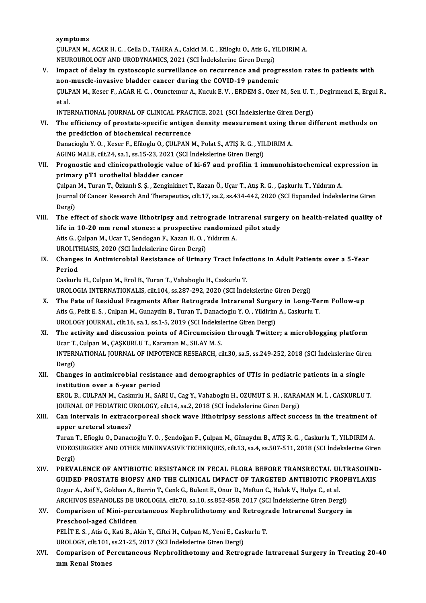symptoms

S**ymptoms**<br>ÇULPAN M., ACAR H. C. , Cella D., TAHRA A., Cakici M. C. , Efiloglu O., Atis G., YILDIRIM A.<br>NEUPOUROLOCY AND URODYNAMICS, 2021, (SCL indeksloping Circa Dergi) symptoms<br>ÇULPAN M., ACAR H. C. , Cella D., TAHRA A., Cakici M. C. , Efiloglu O., Atis G., Y.<br>NEUROUROLOGY AND URODYNAMICS, 2021 (SCI İndekslerine Giren Dergi)<br>Impact of dalay in systessanis survoillanse en nesunnanse and p

CULPAN M., ACAR H. C. , Cella D., TAHRA A., Cakici M. C. , Efiloglu O., Atis G., YILDIRIM A.<br>NEUROUROLOGY AND URODYNAMICS, 2021 (SCI Indekslerine Giren Dergi)<br>V. Impact of delay in cystoscopic surveillance on recurrence an NEUROUROLOGY AND URODYNAMICS, 2021 (SCI İndekslerine Giren Dergi)<br>Impact of delay in cystoscopic surveillance on recurrence and progr<br>non-muscle-invasive bladder cancer during the COVID-19 pandemic<br>CULBAN M. Keser E. ACAB Impact of delay in cystoscopic surveillance on recurrence and progression rates in patients with<br>non-muscle-invasive bladder cancer during the COVID-19 pandemic<br>ÇULPAN M., Keser F., ACAR H. C. , Otunctemur A., Kucuk E. V. non-muscle-invasive bladder cancer during the COVID-19 pandemic<br>CULPAN M., Keser F., ACAR H. C. , Otunctemur A., Kucuk E. V. , ERDEM S., Ozer M., Sen U. T<br>et al.<br>INTERNATIONAL JOURNAL OF CLINICAL PRACTICE, 2021 (SCI Indeks CULPAN M., Keser F., ACAR H. C. , Otunctemur A., Kucuk E. V. , ERDEM S., Ozer M., Sen U. T.<br>et al.<br>INTERNATIONAL JOURNAL OF CLINICAL PRACTICE, 2021 (SCI İndekslerine Giren Dergi)<br>The efficiency of prostate specific antisen et al.<br>INTERNATIONAL JOURNAL OF CLINICAL PRACTICE, 2021 (SCI Indekslerine Giren Dergi)<br>VI. The efficiency of prostate-specific antigen density measurement using three different methods on<br>the prediction of biochomical recu

## INTERNATIONAL JOURNAL OF CLINICAL PRACT<br>The efficiency of prostate-specific antigent<br>the prediction of biochemical recurrence<br>Danagiagh: Y.O., Keser E. Efilegh: O. CUI BAN I The efficiency of prostate-specific antigen density measurement using the<br>the prediction of biochemical recurrence<br>Danacioglu Y.O., Keser F., Efiloglu O., ÇULPAN M., Polat S., ATIŞ R. G., YILDIRIM A.<br>ACINC MALE silt 24. sa the prediction of biochemical recurrence<br>Danacioglu Y. O. , Keser F., Efiloglu O., ÇULPAN M., Polat S., ATIŞ R. G. , YILDIRIM A.<br>AGING MALE, cilt.24, sa.1, ss.15-23, 2021 (SCI İndekslerine Giren Dergi)

- VII. Prognostic and clinicopathologic value of ki-67 and profilin 1 immunohistochemical expression in primary pT1 urothelial bladder cancer Prognostic and clinicopathologic value of ki-67 and profilin 1 immunohistochemical exp<br>primary pT1 urothelial bladder cancer<br>Çulpan M., Turan T., Özkanlı S. Ş. , Zenginkinet T., Kazan Ö., Uçar T., Atış R. G. , Çaşkurlu T., Journal Of Cancer Research And Therapeutics, cilt.17, sa.2, ss.434-442, 2020 (SCI Expanded İndekslerine Giren<br>Dergi) Culpan<br>Journal<br>Dergi)<br>The ef Journal Of Cancer Research And Therapeutics, cilt.17, sa.2, ss.434-442, 2020 (SCI Expanded Indekslerine Giren<br>Dergi)<br>VIII. The effect of shock wave lithotripsy and retrograde intrarenal surgery on health-related quality of
- Dergi)<br>The effect of shock wave lithotripsy and retrograde intrarenal surge<br>life in 10-20 mm renal stones: a prospective randomized pilot study<br>Atis G. Gulpan M. Hear T. Sandagan E. Kagan H. O. Vilduum A The effect of shock wave lithotripsy and retrograde int<br>life in 10-20 mm renal stones: a prospective randomize<br>Atis G., Çulpan M., Ucar T., Sendogan F., Kazan H. O. , Yıldırım A.<br>UPOLITHIASIS 2020 (SCL İndekslerine Giren D life in 10-20 mm renal stones: a prospective randomized pilot study<br>Atis G., Çulpan M., Ucar T., Sendogan F., Kazan H. O., Yıldırım A. UROLITHIASIS, 2020 (SCI İndekslerine Giren Dergi)
- IX. Changes in Antimicrobial Resistance of Urinary Tract Infections in Adult Patients over a 5-Year

Caskurlu H., Culpan M., Erol B., Turan T., Vahaboglu H., Caskurlu T. Period<br>Caskurlu H., Culpan M., Erol B., Turan T., Vahaboglu H., Caskurlu T.<br>UROLOGIA INTERNATIONALIS, cilt.104, ss.287-292, 2020 (SCI İndekslerine Giren Dergi)<br>The Este of Pesidual Eragments After Petrograde Intrarenal Sur

- 
- Caskurlu H., Culpan M., Erol B., Turan T., Vahaboglu H., Caskurlu T.<br>UROLOGIA INTERNATIONALIS, cilt.104, ss.287-292, 2020 (SCI İndekslerine Giren Dergi)<br>X. The Fate of Residual Fragments After Retrograde Intrarenal Surgery UROLOGIA INTERNATIONALIS, cilt.104, ss.287-292, 2020 (SCI İndekslerine Giren Dergi)<br>The Fate of Residual Fragments After Retrograde Intrarenal Surgery in Long-Te<br>Atis G., Pelit E. S. , Culpan M., Gunaydin B., Turan T., Dan The Fate of Residual Fragments After Retrograde Intrarenal Surger<br>Atis G., Pelit E. S. , Culpan M., Gunaydin B., Turan T., Danacioglu Y. O. , Yildirim<br>UROLOGY JOURNAL, cilt.16, sa.1, ss.1-5, 2019 (SCI İndekslerine Giren De Atis G., Pelit E. S. , Culpan M., Gunaydin B., Turan T., Danacioglu Y. O. , Yildirim A., Caskurlu T.<br>UROLOGY JOURNAL, cilt.16, sa.1, ss.1-5, 2019 (SCI Indekslerine Giren Dergi)<br>XI. The activity and discussion points of #Ci
- UROLOGY JOURNAL, cilt.16, sa.1, ss.1-5, 2019 (SCI İndeksl<br>The activity and discussion points of #Circumcision<br>Ucar T., Culpan M., ÇAŞKURLU T., Karaman M., SILAY M. S.<br>INTERNATIONAL JOURNAL OF IMPOTENCE RESEARCH ci The activity and discussion points of #Circumcision through Twitter; a microblogging platform<br>Ucar T., Culpan M., ÇAŞKURLU T., Karaman M., SILAY M. S.<br>INTERNATIONAL JOURNAL OF IMPOTENCE RESEARCH, cilt.30, sa.5, ss.249-252, Ucar T<br>INTERI<br>Dergi)<br>Chang INTERNATIONAL JOURNAL OF IMPOTENCE RESEARCH, cilt.30, sa.5, ss.249-252, 2018 (SCI İndekslerine Gire<br>Dergi)<br>XII. Changes in antimicrobial resistance and demographics of UTIs in pediatric patients in a single<br>institution ove
- Dergi)<br>XII. Changes in antimicrobial resistance and demographics of UTIs in pediatric patients in a single<br>institution over a 6-year period Changes in antimicrobial resistance and demographics of UTIs in pediatric patients in a single<br>institution over a 6-year period<br>EROL B., CULPAN M., Caskurlu H., SARI U., Cag Y., Vahaboglu H., OZUMUT S. H. , KARAMAN M. İ. ,

institution over a 6-year period<br>EROL B., CULPAN M., Caskurlu H., SARI U., Cag Y., Vahaboglu H., OZUMUT S. H. , KARA<br>JOURNAL OF PEDIATRIC UROLOGY, cilt.14, sa.2, 2018 (SCI İndekslerine Giren Dergi)<br>Can intervels in eytrese EROL B., CULPAN M., Caskurlu H., SARI U., Cag Y., Vahaboglu H., OZUMUT S. H. , KARAMAN M. İ. , CASKURLU T.<br>JOURNAL OF PEDIATRIC UROLOGY, cilt.14, sa.2, 2018 (SCI İndekslerine Giren Dergi)<br>XIII. Can intervals in extracorpor

JOURNAL OF PEDIATRIC UROLOGY, cilt.14, sa.2, 2018 (SCI Indekslerine Giren Dergi)<br>Can intervals in extracorporeal shock wave lithotripsy sessions affect suce<br>upper ureteral stones? XIII. Can intervals in extracorporeal shock wave lithotripsy sessions affect success in the treatment of<br>upper ureteral stones?<br>Turan T., Efioglu O., Danacıoğlu Y. O. , Şendoğan F., Çulpan M., Günaydın B., ATIŞ R. G. , Cas

upper ureteral stones?<br>Turan T., Efioglu O., Danacıoğlu Y. O. , Şendoğan F., Çulpan M., Günaydın B., ATIŞ R. G. , Caskurlu T., YILDIRIM A.<br>VIDEOSURGERY AND OTHER MINIINVASIVE TECHNIQUES, cilt.13, sa.4, ss.507-511, 2018 (SC Turan<br>VIDEOS<br>Dergi)<br>DPEVA

Dergi)<br>XIV. PREVALENCE OF ANTIBIOTIC RESISTANCE IN FECAL FLORA BEFORE TRANSRECTAL ULTRASOUND-Dergi)<br>PREVALENCE OF ANTIBIOTIC RESISTANCE IN FECAL FLORA BEFORE TRANSRECTAL ULTRASOUND<br>GUIDED PROSTATE BIOPSY AND THE CLINICAL IMPACT OF TARGETED ANTIBIOTIC PROPHYLAXIS<br>Ozgur A. Agi<sup>e</sup> V. Cokban A. Borrin T. Conk C. Bulon PREVALENCE OF ANTIBIOTIC RESISTANCE IN FECAL FLORA BEFORE TRANSRECTAL UI<br>GUIDED PROSTATE BIOPSY AND THE CLINICAL IMPACT OF TARGETED ANTIBIOTIC PRO<br>Ozgur A., Asif Y., Gokhan A., Berrin T., Cenk G., Bulent E., Onur D., Meftu GUIDED PROSTATE BIOPSY AND THE CLINICAL IMPACT OF TARGETED ANTIBIOTIC PROPI<br>Ozgur A., Asif Y., Gokhan A., Berrin T., Cenk G., Bulent E., Onur D., Meftun C., Haluk V., Hulya C., et al.<br>ARCHIVOS ESPANOLES DE UROLOGIA, cilt.7 ARCHIVOS ESPANOLES DE UROLOGIA, cilt.70, sa.10, ss.852-858, 2017 (SCI Indekslerine Giren Dergi)

# Ozgur A., Asif Y., Gokhan A., Berrin T., Cenk G., Bulent E., Onur D., Meftun C., Haluk V., Hulya C., et al.<br>ARCHIVOS ESPANOLES DE UROLOGIA, cilt.70, sa.10, ss.852-858, 2017 (SCI İndekslerine Giren Dergi)<br>XV. Comparison of Comparison of Mini-percutaneous Nephrolithotomy and Retrogr<br>Preschool-aged Children<br>PELİT E.S., Atis G., Kati B., Akin Y., Ciftci H., Culpan M., Yeni E., Caskurlu T.<br>UPOLOCY, silt 101, se 21, 25, 2017 (SCL indekslerine Gir Preschool-aged Children<br>PELİT E. S. , Atis G., Kati B., Akin Y., Ciftci H., Culpan M., Yeni E., Cas.<br>UROLOGY, cilt.101, ss.21-25, 2017 (SCI İndekslerine Giren Dergi)<br>Companison of Bersutaneous Nophralithetomy and Betro

PELİT E. S. , Atis G., Kati B., Akin Y., Ciftci H., Culpan M., Yeni E., Caskurlu T.<br>UROLOGY, cilt.101, ss.21-25, 2017 (SCI İndekslerine Giren Dergi)<br>XVI. Comparison of Percutaneous Nephrolithotomy and Retrograde Intrar UROLOGY, cilt.101,<br>Comparison of P<br>mm Renal Stones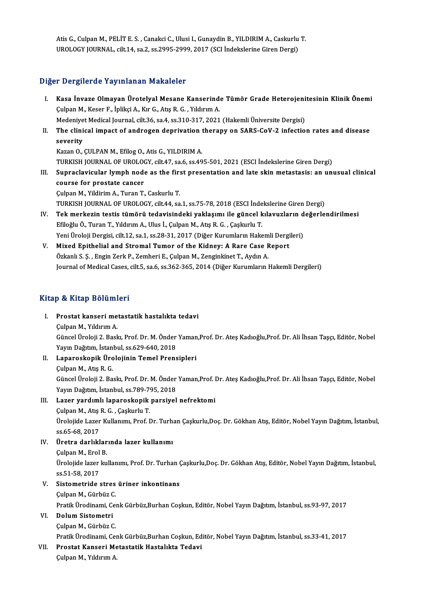Atis G., Culpan M., PELİT E. S. , Canakci C., Ulusi I., Gunaydin B., YILDIRIM A., Caskurlu T.<br>UPOLOCY IQUPNAL, silt 14, sa 3, ss 3995-2999, 2917 (SCL İndekalerine Ciren Dersi) Atis G., Culpan M., PELİT E. S. , Canakci C., Ulusi I., Gunaydin B., YILDIRIM A., Caskurlu<br>UROLOGY JOURNAL, cilt.14, sa.2, ss.2995-2999, 2017 (SCI İndekslerine Giren Dergi) UROLOGY JOURNAL, cilt.14, sa.2, ss.2995-2999, 2017 (SCI İndekslerine Giren Dergi)<br>Diğer Dergilerde Yayınlanan Makaleler

Iğer Dergilerde Yayınlanan Makaleler<br>I. Kasa İnvaze Olmayan Ürotelyal Mesane Kanserinde Tümör Grade Heterojenitesinin Klinik Önemi<br>Culpan M. Kesan E. İnliksi A. Kur G. Atıs P. G. Yılduyu A r Dergirer de Tay imanan Frandreici<br>Kasa İnvaze Olmayan Ürotelyal Mesane Kanserinde<br>Çulpan M., Keser F., İplikçi A., Kır G., Atış R. G. , Yıldırım A. Kasa İnvaze Olmayan Ürotelyal Mesane Kanserinde Tümör Grade Heterojeni<br>Çulpan M., Keser F., İplikçi A., Kır G., Atış R. G. , Yıldırım A.<br>Medeniyet Medical Journal, cilt.36, sa.4, ss.310-317, 2021 (Hakemli Üniversite Dergis Culpan M., Keser F., İplikçi A., Kır G., Atış R. G. , Yıldırım A.<br>Medeniyet Medical Journal, cilt.36, sa.4, ss.310-317, 2021 (Hakemli Üniversite Dergisi)<br>II. The clinical impact of androgen deprivation therapy on SARS-CoV-Medeniyet Medical Journal, cilt.36, sa.4, ss.310-317, 2021 (Hakemli Üniversite Dergisi) Kazan O., ÇULPAN M., Efilog O., Atis G., YILDIRIM A. se<mark>verity</mark><br>Kazan O., ÇULPAN M., Efilog O., Atis G., YILDIRIM A.<br>TURKISH JOURNAL OF UROLOGY, cilt.47, sa.6, ss.495-501, 2021 (ESCI İndekslerine Giren Dergi)<br>Sunnaslavisular lumph pada as the first presentation and late skip Kazan O., ÇULPAN M., Efilog O., Atis G., YILDIRIM A.<br>TURKISH JOURNAL OF UROLOGY, cilt.47, sa.6, ss.495-501, 2021 (ESCI İndekslerine Giren Dergi)<br>III. Supraclavicular lymph node as the first presentation and late skin metas TURKISH JOURNAL OF UROLOON<br>Supraclavicular lymph node<br>course for prostate cancer<br>Culpap M. Vildinim A. Tunap T. Supraclavicular lymph node as the firs<br>course for prostate cancer<br>Çulpan M., Yildirim A., Turan T., Caskurlu T.<br>TURKISH JOURNAL OF UROLOCY silt 4.4, 32 course for prostate cancer<br>Çulpan M., Yildirim A., Turan T., Caskurlu T.<br>TURKISH JOURNAL OF UROLOGY, cilt.44, sa.1, ss.75-78, 2018 (ESCI İndekslerine Giren Dergi)<br>Tek merkerin testis tümörü tedevisindeki yeklesumı ile güne Culpan M., Yildirim A., Turan T., Caskurlu T.<br>IV. TURKISH JOURNAL OF UROLOGY, cilt.44, sa.1, ss.75-78, 2018 (ESCI İndekslerine Giren Dergi)<br>IV. Tek merkezin testis tümörü tedavisindeki yaklaşımı ile güncel kılavuzların değ TURKISH JOURNAL OF UROLOGY, cilt.44, sa.1, ss.75-78, 2018 (ESCI İnde<br>Tek merkezin testis tümörü tedavisindeki yaklaşımı ile güncel k<br>Efiloğlu Ö., Turan T., Yıldırım A., Ulus İ., Çulpan M., Atış R. G. , Çaşkurlu T.<br>Yoni Üre

Tek merkezin testis tümörü tedavisindeki yaklaşımı ile güncel kılavuzların d<br>Efiloğlu Ö., Turan T., Yıldırım A., Ulus İ., Çulpan M., Atış R. G. , Çaşkurlu T.<br>Yeni Üroloji Dergisi, cilt.12, sa.1, ss.28-31, 2017 (Diğer Kurum Efiloğlu Ö., Turan T., Yıldırım A., Ulus İ., Çulpan M., Atış R. G. , Çaşkurlu T.<br>Yeni Üroloji Dergisi, cilt.12, sa.1, ss.28-31, 2017 (Diğer Kurumların Hakemli Dergi<br>V. Mixed Epithelial and Stromal Tumor of the Kidney: A Ra

Yeni Üroloji Dergisi, cilt.12, sa.1, ss.28-31, 2017 (Diğer Kurumların Hakem<br>Mixed Epithelial and Stromal Tumor of the Kidney: A Rare Case F.<br>Özkanlı S. Ş. , Engin Zerk P., Zemheri E., Çulpan M., Zenginkinet T., Aydın A.<br>Jo Özkanlı S. Ş. , Engin Zerk P., Zemheri E., Çulpan M., Zenginkinet T., Aydın A.<br>Journal of Medical Cases, cilt.5, sa.6, ss.362-365, 2014 (Diğer Kurumların Hakemli Dergileri)

### Kitap & Kitap Bölümleri

- Itap & Kitap Bölümleri<br>I. Prostat kanseri metastatik hastalıkta tedavi<br>Culpen M. Yıldınım A pan Marcup Bordini<br>Prostat kanseri me<br>Çulpan M., Yıldırım A. Prostat kanseri metastatik hastalıkta tedavi<br>Çulpan M., Yıldırım A.<br>Güncel Üroloji 2. Baskı, Prof. Dr. M. Önder Yaman,Prof. Dr. Ateş Kadıoğlu,Prof. Dr. Ali İhsan Taşçı, Editör, Nobel<br>Yayın Dağıtım, İstanbul, 98.630.640.201 Çulpan M., Yıldırım A.<br>Güncel Üroloji 2. Baskı, Prof. Dr. M. Önder<br>Yayın Dağıtım, İstanbul, ss.629-640, 2018<br>Lanansekanik, Ürolojinin Tamel Prens Yayın Dağıtım, İstanbul, ss.629-640, 2018<br>II. Laparoskopik Ürolojinin Temel Prensipleri
- Çulpan M., Atış R. G. Laparoskopik Ürolojinin Temel Prensipleri<br>Çulpan M., Atış R. G.<br>Güncel Üroloji 2. Baskı, Prof. Dr. M. Önder Yaman,Prof. Dr. Ateş Kadıoğlu,Prof. Dr. Ali İhsan Taşçı, Editör, Nobel<br>Yayın Doğtum İstanbul, 65.780.705.2019 Çulpan M., Atış R. G.<br>Güncel Üroloji 2. Baskı, Prof. Dr. M. Önder<br>Yayın Dağıtım, İstanbul, ss.789-795, 2018<br>Lager yardımlı lanaroskanik narsiyel Yayın Dağıtım, İstanbul, ss.789-795, 2018<br>III. 1. Lazer yardımlı laparoskopik parsiyel nefrektomi

## Yayın Dağıtım, İstanbul, ss.789-7<sup>,</sup><br>Lazer yardımlı laparoskopik<br>Çulpan M., Atış R. G. , Çaşkurlu T.<br>Ürolojide Lazer Kullanımı Prof I. Ürolojide Lazer Kullanımı, Prof. Dr. Turhan Çaşkurlu,Doç. Dr. Gökhan Atış, Editör, Nobel Yayın Dağıtım, İstanbul,<br>ss.65-68, 2017 Culpan M., Atış<br>Ürolojide Lazer<br>ss.65-68, 2017<br>Ürotra darlıkl Ürolojide Lazer Kullanımı, Prof. Dr. Turh.<br>ss.65-68, 2017<br>IV. Üretra darlıklarında lazer kullanımı

# ss.65-68, 2017<br><mark>Üretra darlıklar</mark><br>Çulpan M., Erol B.<br>Ürolojide lazer ku

Üretra darlıklarında lazer kullanımı<br>Çulpan M., Erol B.<br>Ürolojide lazer kullanımı, Prof. Dr. Turhan Çaşkurlu,Doç. Dr. Gökhan Atış, Editör, Nobel Yayın Dağıtım, İstanbul,<br>98.51.58.2017 Culpan M., Erol<br>Ürolojide lazer<br>ss.51-58, 2017<br>Sistemetride V. Sistometride stres üriner inkontinans

ÇulpanM.,GürbüzC.

Sistometride stres üriner inkontinans<br>Çulpan M., Gürbüz C.<br>Pratik Ürodinami, Cenk Gürbüz,Burhan Coşkun, Editör, Nobel Yayın Dağıtım, İstanbul, ss.93-97, 2017<br>Dolum Sistametri Pratik Ürodinami, Ce<mark>:</mark><br>Dolum Sistometri<br>Çulpan M., Gürbüz C.<br><sup>Dnotil: Ürodinami, Co</sup>

## VI. Dolum Sistometri<br>Culpan M., Gürbüz C.

Dolum Sistometri<br>Çulpan M., Gürbüz C.<br>Pratik Ürodinami, Cenk Gürbüz,Burhan Coşkun, Editör, Nobel Yayın Dağıtım, İstanbul, ss.33-41, 2017<br>Prestat Kanseri Metestatik Hestalıkta Tedevi Pratik Ürodinami, Cer<br><mark>Prostat Kanseri Me</mark><br>Çulpan M., Yıldırım A.

## VII. Prostat Kanseri Metastatik Hastalıkta Tedavi<br>Çulpan M., Yıldırım A.